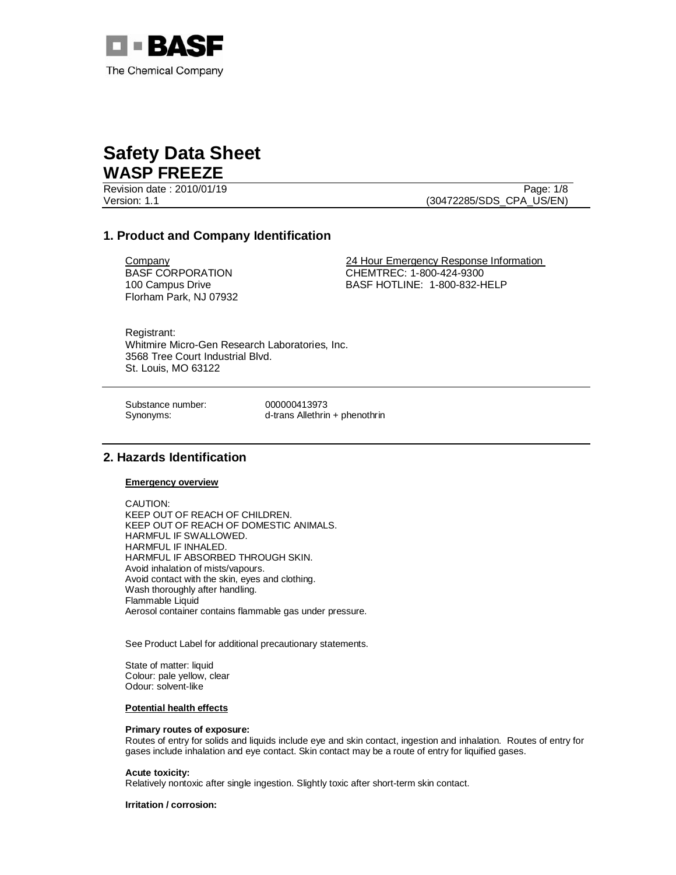

Revision date : 2010/01/19 Page: 1/8

Version: 1.1 (30472285/SDS\_CPA\_US/EN)

## **1. Product and Company Identification**

BASF CORPORATION 100 Campus Drive Florham Park, NJ 07932

**Company 24 Hour Emergency Response Information** CHEMTREC: 1-800-424-9300 BASF HOTLINE: 1-800-832-HELP

Registrant: Whitmire Micro-Gen Research Laboratories, Inc. 3568 Tree Court Industrial Blvd. St. Louis, MO 63122

Substance number: 000000413973

Synonyms: d-trans Allethrin + phenothrin

## **2. Hazards Identification**

**Emergency overview**

CAUTION: KEEP OUT OF REACH OF CHILDREN. KEEP OUT OF REACH OF DOMESTIC ANIMALS. HARMFUL IF SWALLOWED. HARMFUL IF INHALED. HARMFUL IF ABSORBED THROUGH SKIN. Avoid inhalation of mists/vapours. Avoid contact with the skin, eyes and clothing. Wash thoroughly after handling. Flammable Liquid Aerosol container contains flammable gas under pressure.

See Product Label for additional precautionary statements.

State of matter: liquid Colour: pale yellow, clear Odour: solvent-like

#### **Potential health effects**

### **Primary routes of exposure:**

Routes of entry for solids and liquids include eye and skin contact, ingestion and inhalation. Routes of entry for gases include inhalation and eye contact. Skin contact may be a route of entry for liquified gases.

#### **Acute toxicity:**

Relatively nontoxic after single ingestion. Slightly toxic after short-term skin contact.

**Irritation / corrosion:**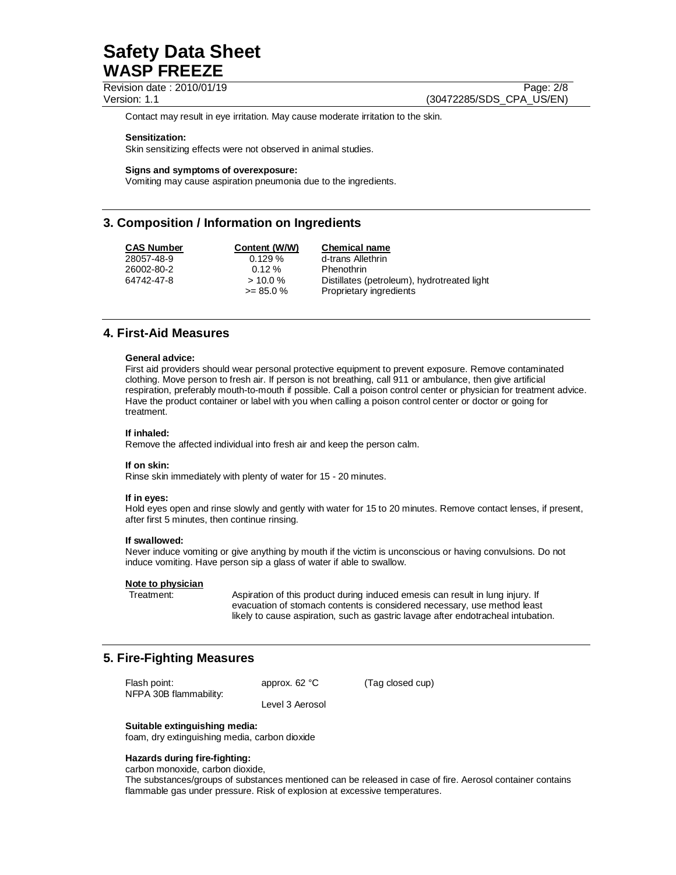Revision date : 2010/01/19 Page: 2/8

Version: 1.1 (30472285/SDS\_CPA\_US/EN)

Contact may result in eye irritation. May cause moderate irritation to the skin.

#### **Sensitization:**

Skin sensitizing effects were not observed in animal studies.

#### **Signs and symptoms of overexposure:**

Vomiting may cause aspiration pneumonia due to the ingredients.

## **3. Composition / Information on Ingredients**

| <b>CAS Number</b> | Content (W/W) | <b>Chemical name</b>                        |
|-------------------|---------------|---------------------------------------------|
| 28057-48-9        | 0.129%        | d-trans Allethrin                           |
| 26002-80-2        | $0.12 \%$     | Phenothrin                                  |
| 64742-47-8        | $> 10.0\%$    | Distillates (petroleum), hydrotreated light |
|                   | $>= 85.0 %$   | Proprietary ingredients                     |

## **4. First-Aid Measures**

#### **General advice:**

First aid providers should wear personal protective equipment to prevent exposure. Remove contaminated clothing. Move person to fresh air. If person is not breathing, call 911 or ambulance, then give artificial respiration, preferably mouth-to-mouth if possible. Call a poison control center or physician for treatment advice. Have the product container or label with you when calling a poison control center or doctor or going for treatment.

#### **If inhaled:**

Remove the affected individual into fresh air and keep the person calm.

#### **If on skin:**

Rinse skin immediately with plenty of water for 15 - 20 minutes.

#### **If in eyes:**

Hold eyes open and rinse slowly and gently with water for 15 to 20 minutes. Remove contact lenses, if present, after first 5 minutes, then continue rinsing.

#### **If swallowed:**

Never induce vomiting or give anything by mouth if the victim is unconscious or having convulsions. Do not induce vomiting. Have person sip a glass of water if able to swallow.

#### **Note to physician**

Treatment: Aspiration of this product during induced emesis can result in lung injury. If evacuation of stomach contents is considered necessary, use method least likely to cause aspiration, such as gastric lavage after endotracheal intubation.

## **5. Fire-Fighting Measures**

| Flash point:<br>NFPA 30B flammability: | approx. $62 °C$ | (Tag closed cup) |
|----------------------------------------|-----------------|------------------|
|                                        | Level 3 Aerosol |                  |

### **Suitable extinguishing media:**

foam, dry extinguishing media, carbon dioxide

#### **Hazards during fire-fighting:**

carbon monoxide, carbon dioxide,

The substances/groups of substances mentioned can be released in case of fire. Aerosol container contains flammable gas under pressure. Risk of explosion at excessive temperatures.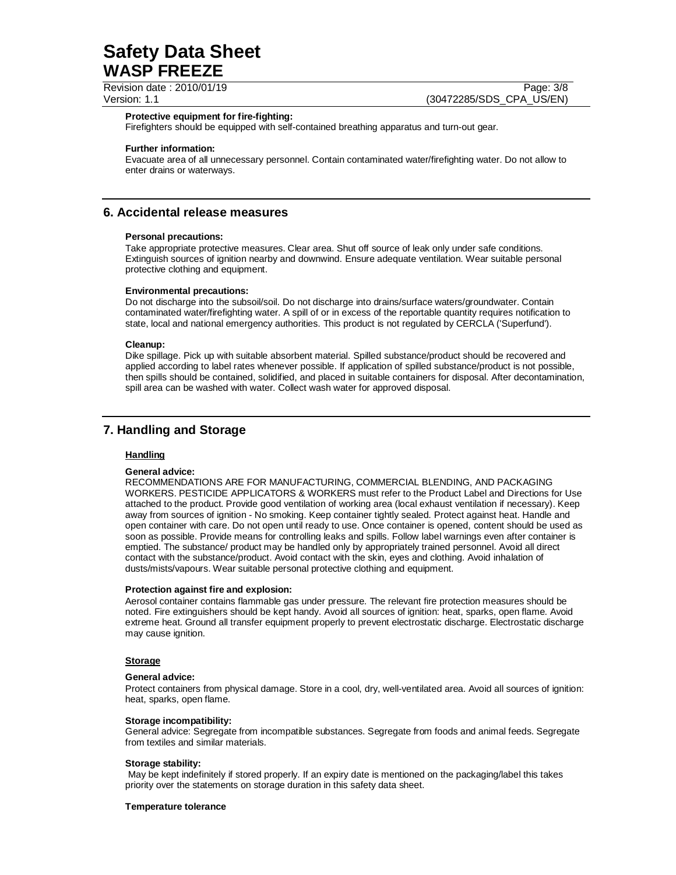Revision date : 2010/01/19 **Page: 3/8** Page: 3/8

Version: 1.1 (30472285/SDS\_CPA\_US/EN)

#### **Protective equipment for fire-fighting:**

Firefighters should be equipped with self-contained breathing apparatus and turn-out gear.

#### **Further information:**

Evacuate area of all unnecessary personnel. Contain contaminated water/firefighting water. Do not allow to enter drains or waterways.

## **6. Accidental release measures**

#### **Personal precautions:**

Take appropriate protective measures. Clear area. Shut off source of leak only under safe conditions. Extinguish sources of ignition nearby and downwind. Ensure adequate ventilation. Wear suitable personal protective clothing and equipment.

#### **Environmental precautions:**

Do not discharge into the subsoil/soil. Do not discharge into drains/surface waters/groundwater. Contain contaminated water/firefighting water. A spill of or in excess of the reportable quantity requires notification to state, local and national emergency authorities. This product is not regulated by CERCLA ('Superfund').

#### **Cleanup:**

Dike spillage. Pick up with suitable absorbent material. Spilled substance/product should be recovered and applied according to label rates whenever possible. If application of spilled substance/product is not possible, then spills should be contained, solidified, and placed in suitable containers for disposal. After decontamination, spill area can be washed with water. Collect wash water for approved disposal.

## **7. Handling and Storage**

#### **Handling**

#### **General advice:**

RECOMMENDATIONS ARE FOR MANUFACTURING, COMMERCIAL BLENDING, AND PACKAGING WORKERS. PESTICIDE APPLICATORS & WORKERS must refer to the Product Label and Directions for Use attached to the product. Provide good ventilation of working area (local exhaust ventilation if necessary). Keep away from sources of ignition - No smoking. Keep container tightly sealed. Protect against heat. Handle and open container with care. Do not open until ready to use. Once container is opened, content should be used as soon as possible. Provide means for controlling leaks and spills. Follow label warnings even after container is emptied. The substance/ product may be handled only by appropriately trained personnel. Avoid all direct contact with the substance/product. Avoid contact with the skin, eyes and clothing. Avoid inhalation of dusts/mists/vapours. Wear suitable personal protective clothing and equipment.

#### **Protection against fire and explosion:**

Aerosol container contains flammable gas under pressure. The relevant fire protection measures should be noted. Fire extinguishers should be kept handy. Avoid all sources of ignition: heat, sparks, open flame. Avoid extreme heat. Ground all transfer equipment properly to prevent electrostatic discharge. Electrostatic discharge may cause ignition.

#### **Storage**

#### **General advice:**

Protect containers from physical damage. Store in a cool, dry, well-ventilated area. Avoid all sources of ignition: heat, sparks, open flame.

#### **Storage incompatibility:**

General advice: Segregate from incompatible substances. Segregate from foods and animal feeds. Segregate from textiles and similar materials.

#### **Storage stability:**

 May be kept indefinitely if stored properly. If an expiry date is mentioned on the packaging/label this takes priority over the statements on storage duration in this safety data sheet.

#### **Temperature tolerance**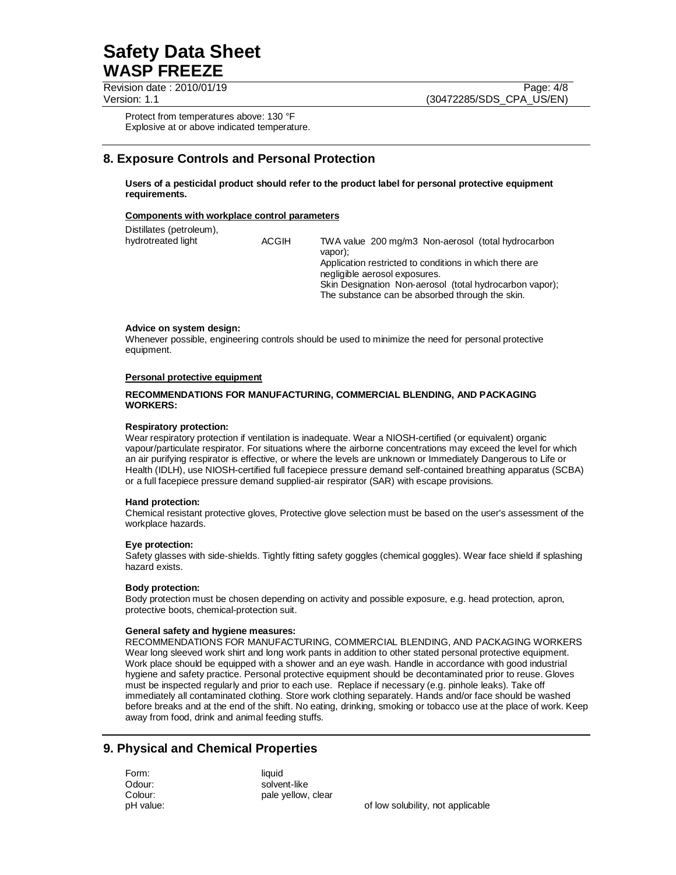Revision date : 2010/01/19 Page: 4/8

Version: 1.1 (30472285/SDS\_CPA\_US/EN)

Protect from temperatures above: 130 °F Explosive at or above indicated temperature.

# **8. Exposure Controls and Personal Protection**

**Users of a pesticidal product should refer to the product label for personal protective equipment requirements.** 

#### **Components with workplace control parameters**

| Distillates (petroleum), |              |                                                                                                                                                                                                                                                                         |
|--------------------------|--------------|-------------------------------------------------------------------------------------------------------------------------------------------------------------------------------------------------------------------------------------------------------------------------|
| hydrotreated light       | <b>ACGIH</b> | TWA value 200 mg/m3 Non-aerosol (total hydrocarbon<br>vapor):<br>Application restricted to conditions in which there are<br>negligible aerosol exposures.<br>Skin Designation Non-aerosol (total hydrocarbon vapor);<br>The substance can be absorbed through the skin. |
|                          |              |                                                                                                                                                                                                                                                                         |

#### **Advice on system design:**

Whenever possible, engineering controls should be used to minimize the need for personal protective equipment.

#### **Personal protective equipment**

#### **RECOMMENDATIONS FOR MANUFACTURING, COMMERCIAL BLENDING, AND PACKAGING WORKERS:**

#### **Respiratory protection:**

Wear respiratory protection if ventilation is inadequate. Wear a NIOSH-certified (or equivalent) organic vapour/particulate respirator. For situations where the airborne concentrations may exceed the level for which an air purifying respirator is effective, or where the levels are unknown or Immediately Dangerous to Life or Health (IDLH), use NIOSH-certified full facepiece pressure demand self-contained breathing apparatus (SCBA) or a full facepiece pressure demand supplied-air respirator (SAR) with escape provisions.

#### **Hand protection:**

Chemical resistant protective gloves, Protective glove selection must be based on the user's assessment of the workplace hazards.

#### **Eye protection:**

Safety glasses with side-shields. Tightly fitting safety goggles (chemical goggles). Wear face shield if splashing hazard exists.

#### **Body protection:**

Body protection must be chosen depending on activity and possible exposure, e.g. head protection, apron, protective boots, chemical-protection suit.

#### **General safety and hygiene measures:**

RECOMMENDATIONS FOR MANUFACTURING, COMMERCIAL BLENDING, AND PACKAGING WORKERS Wear long sleeved work shirt and long work pants in addition to other stated personal protective equipment. Work place should be equipped with a shower and an eye wash. Handle in accordance with good industrial hygiene and safety practice. Personal protective equipment should be decontaminated prior to reuse. Gloves must be inspected regularly and prior to each use. Replace if necessary (e.g. pinhole leaks). Take off immediately all contaminated clothing. Store work clothing separately. Hands and/or face should be washed before breaks and at the end of the shift. No eating, drinking, smoking or tobacco use at the place of work. Keep away from food, drink and animal feeding stuffs.

## **9. Physical and Chemical Properties**

Form: liquid

Odour: solvent-like Colour: pale yellow, clear

pH value: of low solubility, not applicable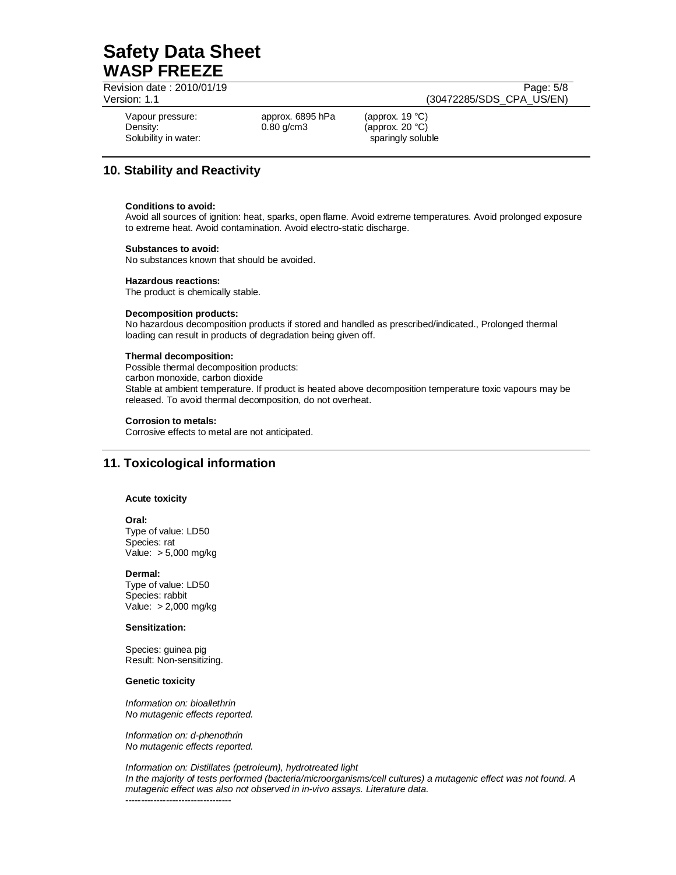Revision date : 2010/01/19 Page: 5/8

Version: 1.1 (30472285/SDS\_CPA\_US/EN)

Solubility in water: sparingly soluble sparingly soluble

Vapour pressure: approx. 6895 hPa (approx. 19 °C) Density: 0.80 g/cm3 (approx. 20 °C)

# **10. Stability and Reactivity**

#### **Conditions to avoid:**

Avoid all sources of ignition: heat, sparks, open flame. Avoid extreme temperatures. Avoid prolonged exposure to extreme heat. Avoid contamination. Avoid electro-static discharge.

#### **Substances to avoid:**

No substances known that should be avoided.

#### **Hazardous reactions:**

The product is chemically stable.

#### **Decomposition products:**

No hazardous decomposition products if stored and handled as prescribed/indicated., Prolonged thermal loading can result in products of degradation being given off.

#### **Thermal decomposition:**

Possible thermal decomposition products: carbon monoxide, carbon dioxide Stable at ambient temperature. If product is heated above decomposition temperature toxic vapours may be released. To avoid thermal decomposition, do not overheat.

#### **Corrosion to metals:**

Corrosive effects to metal are not anticipated.

# **11. Toxicological information**

#### **Acute toxicity**

#### **Oral:**

Type of value: LD50 Species: rat Value: > 5,000 mg/kg

**Dermal:** 

Type of value: LD50 Species: rabbit Value: > 2,000 mg/kg

#### **Sensitization:**

Species: guinea pig Result: Non-sensitizing.

#### **Genetic toxicity**

Information on: bioallethrin No mutagenic effects reported.

Information on: d-phenothrin No mutagenic effects reported.

Information on: Distillates (petroleum), hydrotreated light In the majority of tests performed (bacteria/microorganisms/cell cultures) a mutagenic effect was not found. A mutagenic effect was also not observed in in-vivo assays. Literature data. ----------------------------------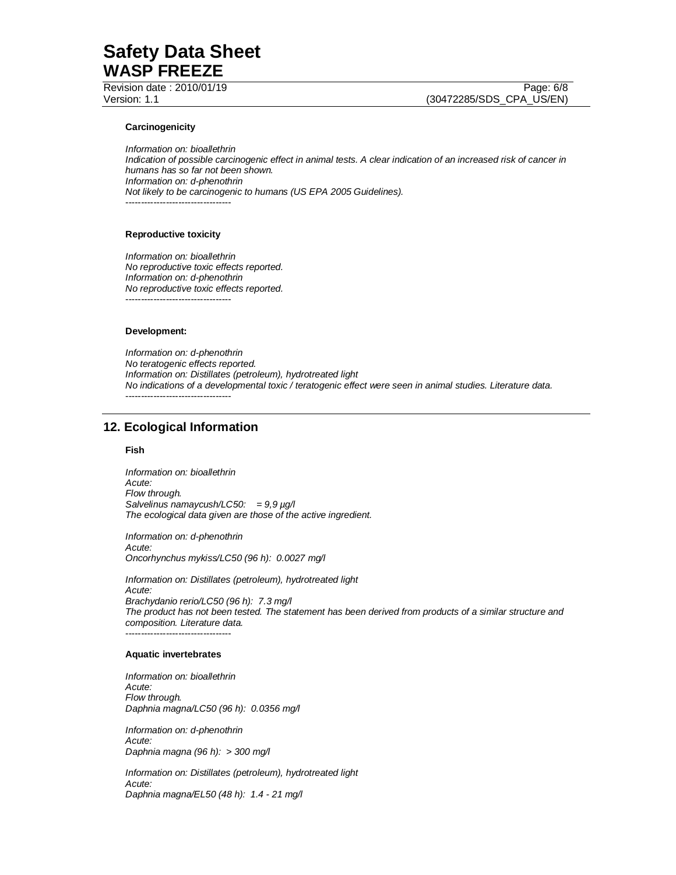Revision date : 2010/01/19 Page: 6/8

Version: 1.1 (30472285/SDS\_CPA\_US/EN)

#### **Carcinogenicity**

Information on: bioallethrin Indication of possible carcinogenic effect in animal tests. A clear indication of an increased risk of cancer in humans has so far not been shown. Information on: d-phenothrin Not likely to be carcinogenic to humans (US EPA 2005 Guidelines). ----------------------------------

#### **Reproductive toxicity**

Information on: bioallethrin No reproductive toxic effects reported. Information on: d-phenothrin No reproductive toxic effects reported. ----------------------------------

#### **Development:**

Information on: d-phenothrin No teratogenic effects reported. Information on: Distillates (petroleum), hydrotreated light No indications of a developmental toxic / teratogenic effect were seen in animal studies. Literature data. ----------------------------------

## **12. Ecological Information**

#### **Fish**

Information on: bioallethrin Acute: Flow through. Salvelinus namaycush/LC50: =  $9.9 \mu g$ /l The ecological data given are those of the active ingredient.

Information on: d-phenothrin Acute: Oncorhynchus mykiss/LC50 (96 h): 0.0027 mg/l

Information on: Distillates (petroleum), hydrotreated light Acute: Brachydanio rerio/LC50 (96 h): 7.3 mg/l The product has not been tested. The statement has been derived from products of a similar structure and composition. Literature data. ----------------------------------

#### **Aquatic invertebrates**

Information on: bioallethrin Acute: Flow through. Daphnia magna/LC50 (96 h): 0.0356 mg/l

Information on: d-phenothrin Acute: Daphnia magna (96 h): > 300 mg/l

Information on: Distillates (petroleum), hydrotreated light Acute: Daphnia magna/EL50 (48 h): 1.4 - 21 mg/l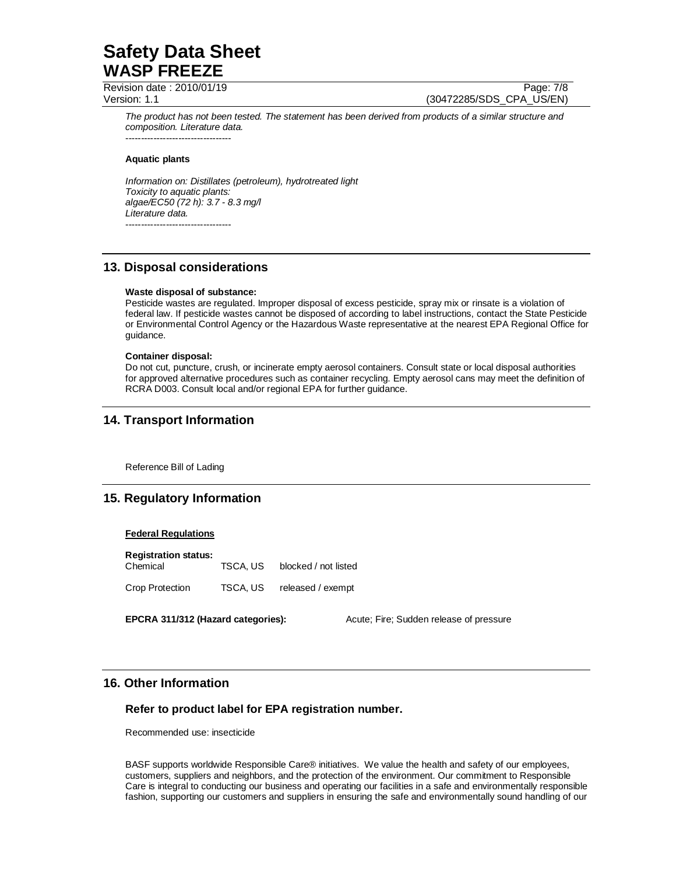Revision date : 2010/01/19 Page: 7/8

Version: 1.1 (30472285/SDS\_CPA\_US/EN)

The product has not been tested. The statement has been derived from products of a similar structure and composition. Literature data. ----------------------------------

#### **Aquatic plants**

Information on: Distillates (petroleum), hydrotreated light Toxicity to aquatic plants: algae/EC50 (72 h): 3.7 - 8.3 mg/l Literature data. ----------------------------------

## **13. Disposal considerations**

#### **Waste disposal of substance:**

Pesticide wastes are regulated. Improper disposal of excess pesticide, spray mix or rinsate is a violation of federal law. If pesticide wastes cannot be disposed of according to label instructions, contact the State Pesticide or Environmental Control Agency or the Hazardous Waste representative at the nearest EPA Regional Office for guidance.

#### **Container disposal:**

Do not cut, puncture, crush, or incinerate empty aerosol containers. Consult state or local disposal authorities for approved alternative procedures such as container recycling. Empty aerosol cans may meet the definition of RCRA D003. Consult local and/or regional EPA for further guidance.

## **14. Transport Information**

Reference Bill of Lading

## **15. Regulatory Information**

#### **Federal Regulations**

| <b>Registration status:</b><br>Chemical | TSCA, US | blocked / not listed |
|-----------------------------------------|----------|----------------------|
| <b>Crop Protection</b>                  | TSCA, US | released / exempt    |

**EPCRA 311/312 (Hazard categories):** Acute; Fire; Sudden release of pressure

## **16. Other Information**

### **Refer to product label for EPA registration number.**

Recommended use: insecticide

BASF supports worldwide Responsible Care® initiatives. We value the health and safety of our employees, customers, suppliers and neighbors, and the protection of the environment. Our commitment to Responsible Care is integral to conducting our business and operating our facilities in a safe and environmentally responsible fashion, supporting our customers and suppliers in ensuring the safe and environmentally sound handling of our